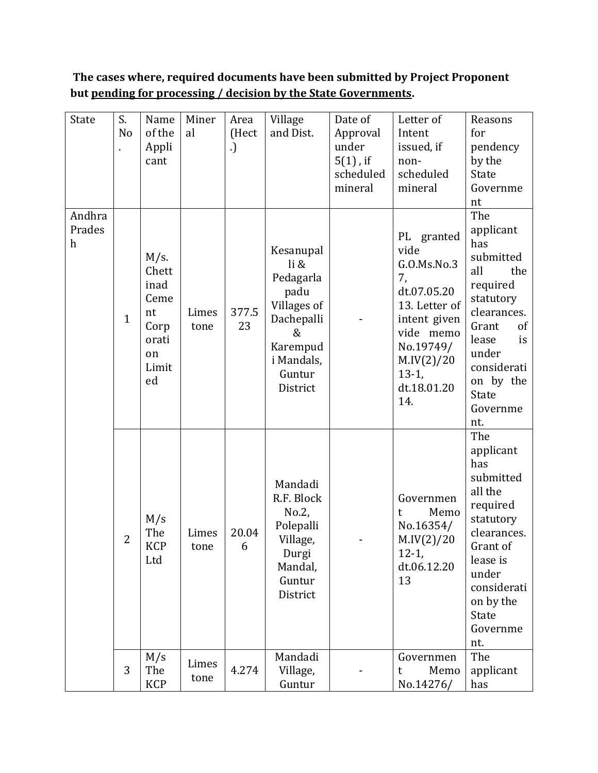**The cases where, required documents have been submitted by Project Proponent but pending for processing / decision by the State Governments.**

| State                                         | S.<br>N <sub>o</sub> | Name<br>of the<br>Appli<br>cant                                              | Miner<br>al   | Area<br>(Hect<br>.) | Village<br>and Dist.                                                                                                     | Date of<br>Approval<br>under<br>$5(1)$ , if<br>scheduled<br>mineral | Letter of<br>Intent<br>issued, if<br>non-<br>scheduled<br>mineral                                                                                                | Reasons<br>for<br>pendency<br>by the<br><b>State</b><br>Governme<br>nt                                                                                                                                      |
|-----------------------------------------------|----------------------|------------------------------------------------------------------------------|---------------|---------------------|--------------------------------------------------------------------------------------------------------------------------|---------------------------------------------------------------------|------------------------------------------------------------------------------------------------------------------------------------------------------------------|-------------------------------------------------------------------------------------------------------------------------------------------------------------------------------------------------------------|
| Andhra<br>Prades<br>$\boldsymbol{\mathrm{h}}$ | $\mathbf{1}$         | $M/s$ .<br>Chett<br>inad<br>Ceme<br>nt<br>Corp<br>orati<br>on<br>Limit<br>ed | Limes<br>tone | 377.5<br>23         | Kesanupal<br>li &<br>Pedagarla<br>padu<br>Villages of<br>Dachepalli<br>&<br>Karempud<br>i Mandals,<br>Guntur<br>District |                                                                     | PL granted<br>vide<br>G.O.Ms.No.3<br>7,<br>dt.07.05.20<br>13. Letter of<br>intent given<br>vide memo<br>No.19749/<br>M.IV(2)/20<br>$13-1,$<br>dt.18.01.20<br>14. | The<br>applicant<br>has<br>submitted<br>all<br>the<br>required<br>statutory<br>clearances.<br>Grant<br><sub>of</sub><br>lease<br>is<br>under<br>considerati<br>on by the<br><b>State</b><br>Governme<br>nt. |
|                                               | 2                    | M/s<br>The<br><b>KCP</b><br>Ltd                                              | Limes<br>tone | 20.04<br>6          | Mandadi<br>R.F. Block<br>No.2,<br>Polepalli<br>Village,<br>Durgi<br>Mandal,<br>Guntur<br>District                        |                                                                     | Governmen<br>Memo<br>t<br>No.16354/<br>M.IV(2)/20<br>$12-1,$<br>dt.06.12.20<br>13                                                                                | The<br>applicant<br>has<br>submitted<br>all the<br>required<br>statutory<br>clearances.<br>Grant of<br>lease is<br>under<br>considerati<br>on by the<br>State<br>Governme<br>nt.                            |
|                                               | 3                    | M/s<br>The<br><b>KCP</b>                                                     | Limes<br>tone | 4.274               | Mandadi<br>Village,<br>Guntur                                                                                            |                                                                     | Governmen<br>Memo<br>t<br>No.14276/                                                                                                                              | The<br>applicant<br>has                                                                                                                                                                                     |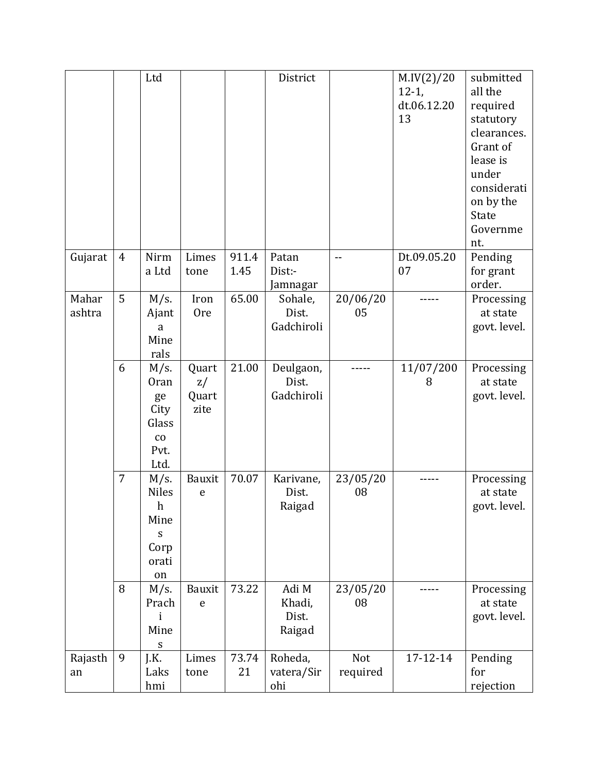|                 |                | Ltd                                                                                       |                              |               | District                           |                 | M.IV(2)/20<br>$12-1,$<br>dt.06.12.20<br>13 | submitted<br>all the<br>required<br>statutory<br>clearances.<br>Grant of<br>lease is<br>under<br>considerati<br>on by the<br>State<br>Governme<br>nt. |
|-----------------|----------------|-------------------------------------------------------------------------------------------|------------------------------|---------------|------------------------------------|-----------------|--------------------------------------------|-------------------------------------------------------------------------------------------------------------------------------------------------------|
| Gujarat         | $\overline{4}$ | Nirm<br>a Ltd                                                                             | Limes<br>tone                | 911.4<br>1.45 | Patan<br>Dist:-<br>Jamnagar        |                 | Dt.09.05.20<br>07                          | Pending<br>for grant<br>order.                                                                                                                        |
| Mahar<br>ashtra | 5              | $M/s$ .<br>Ajant<br>a<br>Mine<br>rals                                                     | Iron<br><b>Ore</b>           | 65.00         | Sohale,<br>Dist.<br>Gadchiroli     | 20/06/20<br>05  |                                            | Processing<br>at state<br>govt. level.                                                                                                                |
|                 | 6              | $M/s$ .<br><b>Oran</b><br>ge<br>City<br>Glass<br>$\rm{co}$<br>Pvt.<br>Ltd.                | Quart<br>z/<br>Quart<br>zite | 21.00         | Deulgaon,<br>Dist.<br>Gadchiroli   |                 | 11/07/200<br>8                             | Processing<br>at state<br>govt. level.                                                                                                                |
|                 | 7              | $M/s$ .<br><b>Niles</b><br>$\boldsymbol{h}$<br>Mine<br>$\mathbf S$<br>Corp<br>orati<br>on | Bauxit<br>$\mathbf e$        | 70.07         | Karivane,<br>Dist.<br>Raigad       | 23/05/20<br>08  |                                            | Processing<br>at state<br>govt. level.                                                                                                                |
|                 | 8              | M/s.<br>Prach<br>i<br>Mine<br>S                                                           | Bauxit<br>$\mathbf e$        | 73.22         | Adi M<br>Khadi,<br>Dist.<br>Raigad | 23/05/20<br>08  |                                            | Processing<br>at state<br>govt. level.                                                                                                                |
| Rajasth<br>an   | 9              | J.K.<br>Laks<br>hmi                                                                       | Limes<br>tone                | 73.74<br>21   | Roheda,<br>vatera/Sir<br>ohi       | Not<br>required | 17-12-14                                   | Pending<br>for<br>rejection                                                                                                                           |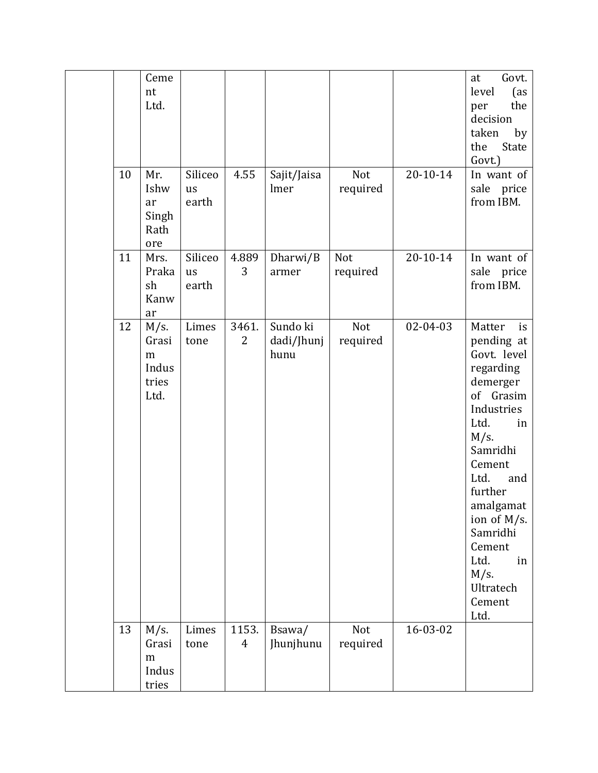| 10 | Ceme<br>nt<br>Ltd.<br>Mr.<br>Ishw<br>ar         | Siliceo<br>us<br>earth | 4.55                    | Sajit/Jaisa<br>lmer            | Not<br>required | $20 - 10 - 14$ | Govt.<br>at<br>level<br>(as<br>the<br>per<br>decision<br>taken<br>by<br>State<br>the<br>Govt.)<br>In want of<br>sale<br>price<br>from IBM.                                                                                                                                       |
|----|-------------------------------------------------|------------------------|-------------------------|--------------------------------|-----------------|----------------|----------------------------------------------------------------------------------------------------------------------------------------------------------------------------------------------------------------------------------------------------------------------------------|
|    | Singh<br>Rath<br>ore                            |                        |                         |                                |                 |                |                                                                                                                                                                                                                                                                                  |
| 11 | Mrs.<br>Praka<br>sh<br>Kanw<br>ar               | Siliceo<br>us<br>earth | 4.889<br>3              | Dharwi/B<br>armer              | Not<br>required | $20 - 10 - 14$ | In want of<br>sale price<br>from IBM.                                                                                                                                                                                                                                            |
| 12 | $M/s$ .<br>Grasi<br>m<br>Indus<br>tries<br>Ltd. | Limes<br>tone          | 3461.<br>2              | Sundo ki<br>dadi/Jhunj<br>hunu | Not<br>required | 02-04-03       | Matter<br>is<br>pending at<br>Govt. level<br>regarding<br>demerger<br>of Grasim<br>Industries<br>Ltd.<br>in<br>$M/s$ .<br>Samridhi<br>Cement<br>Ltd.<br>and<br>further<br>amalgamat<br>ion of M/s.<br>Samridhi<br>Cement<br>Ltd.<br>in<br>$M/s$ .<br>Ultratech<br>Cement<br>Ltd. |
| 13 | $M/s$ .<br>Grasi<br>m<br>Indus<br>tries         | Limes<br>tone          | 1153.<br>$\overline{4}$ | Bsawa/<br>Jhunjhunu            | Not<br>required | 16-03-02       |                                                                                                                                                                                                                                                                                  |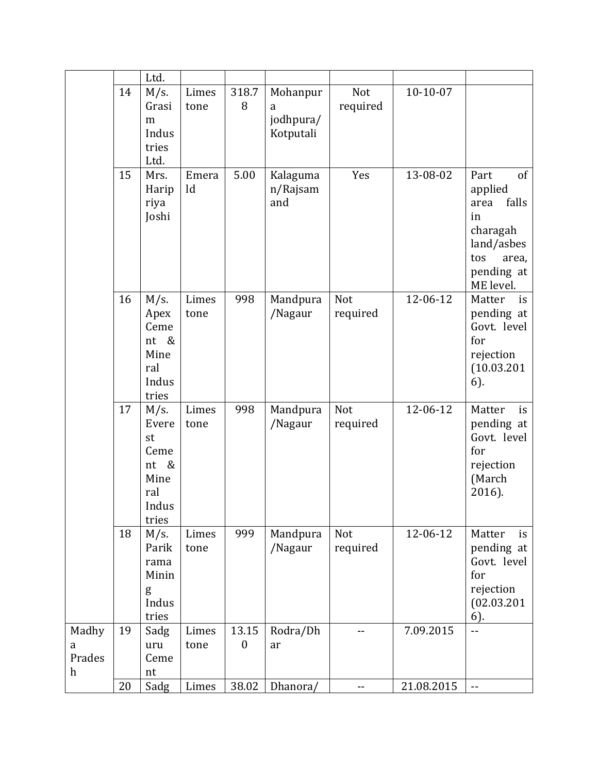|                  |    | Ltd.    |       |                  |           |            |            |                            |
|------------------|----|---------|-------|------------------|-----------|------------|------------|----------------------------|
|                  | 14 | $M/s$ . | Limes | 318.7            | Mohanpur  | Not        | $10-10-07$ |                            |
|                  |    | Grasi   | tone  | 8                | a         | required   |            |                            |
|                  |    | m       |       |                  | jodhpura/ |            |            |                            |
|                  |    | Indus   |       |                  | Kotputali |            |            |                            |
|                  |    | tries   |       |                  |           |            |            |                            |
|                  |    | Ltd.    |       |                  |           |            |            |                            |
|                  | 15 | Mrs.    | Emera | 5.00             | Kalaguma  | Yes        | 13-08-02   | of<br>Part                 |
|                  |    | Harip   | ld    |                  | n/Rajsam  |            |            | applied                    |
|                  |    | riya    |       |                  | and       |            |            | falls<br>area              |
|                  |    | Joshi   |       |                  |           |            |            | in                         |
|                  |    |         |       |                  |           |            |            | charagah                   |
|                  |    |         |       |                  |           |            |            | land/asbes                 |
|                  |    |         |       |                  |           |            |            | tos<br>area,               |
|                  |    |         |       |                  |           |            |            | pending at                 |
|                  |    |         |       |                  |           |            |            | ME level.                  |
|                  | 16 | M/s.    | Limes | 998              | Mandpura  | Not        | 12-06-12   | Matter<br>is               |
|                  |    | Apex    | tone  |                  | /Nagaur   | required   |            | pending at                 |
|                  |    | Ceme    |       |                  |           |            |            | Govt. level                |
|                  |    | nt<br>& |       |                  |           |            |            | for                        |
|                  |    | Mine    |       |                  |           |            |            | rejection                  |
|                  |    | ral     |       |                  |           |            |            | (10.03.201)                |
|                  |    | Indus   |       |                  |           |            |            | 6).                        |
|                  |    | tries   |       |                  |           |            |            |                            |
|                  | 17 | $M/s$ . | Limes | 998              | Mandpura  | Not        | 12-06-12   | Matter<br>is               |
|                  |    | Evere   | tone  |                  | /Nagaur   | required   |            | pending at                 |
|                  |    | st      |       |                  |           |            |            | Govt. level                |
|                  |    | Ceme    |       |                  |           |            |            | for                        |
|                  |    | &<br>nt |       |                  |           |            |            | rejection                  |
|                  |    | Mine    |       |                  |           |            |            | (March                     |
|                  |    | ral     |       |                  |           |            |            | 2016).                     |
|                  |    | Indus   |       |                  |           |            |            |                            |
|                  |    | tries   |       |                  |           |            |            |                            |
|                  | 18 | $M/s$ . | Limes | 999              | Mandpura  | Not        | 12-06-12   | Matter<br>is               |
|                  |    | Parik   | tone  |                  | /Nagaur   | required   |            | pending at                 |
|                  |    | rama    |       |                  |           |            |            | Govt. level                |
|                  |    | Minin   |       |                  |           |            |            | for                        |
|                  |    | g       |       |                  |           |            |            | rejection                  |
|                  |    | Indus   |       |                  |           |            |            | (02.03.201)                |
|                  |    | tries   |       |                  |           |            |            | 6).                        |
| Madhy            | 19 | Sadg    | Limes | 13.15            | Rodra/Dh  | $-$        | 7.09.2015  | --                         |
| a                |    | uru     | tone  | $\boldsymbol{0}$ | ar        |            |            |                            |
| Prades           |    | Ceme    |       |                  |           |            |            |                            |
| $\boldsymbol{h}$ |    | nt      |       |                  |           |            |            |                            |
|                  | 20 | Sadg    | Limes | 38.02            | Dhanora/  | $\sim$ $-$ | 21.08.2015 | $\overline{\phantom{a}}$ . |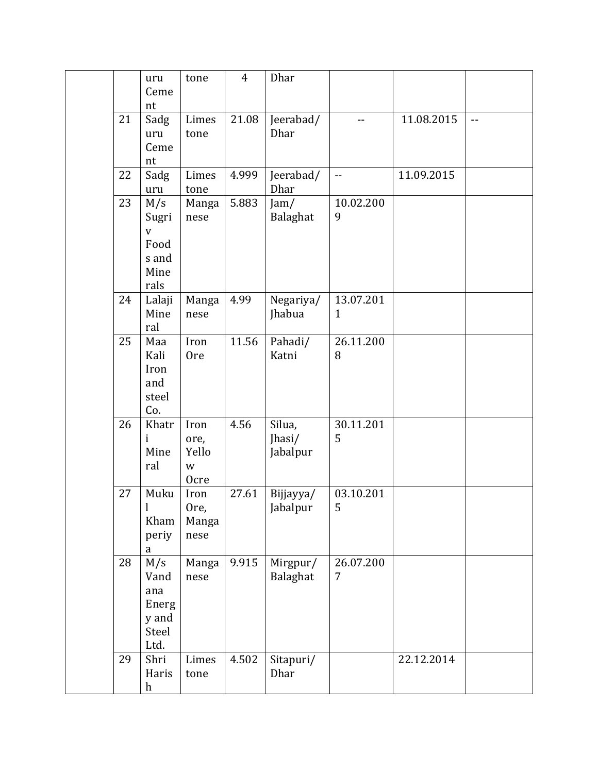|    | uru            | tone          | $\overline{4}$ | Dhar                 |                |            |                          |
|----|----------------|---------------|----------------|----------------------|----------------|------------|--------------------------|
|    | Ceme<br>nt     |               |                |                      |                |            |                          |
| 21 | Sadg           | Limes         | 21.08          | Jeerabad/            | $-$            | 11.08.2015 | $\overline{\phantom{a}}$ |
|    | uru            | tone          |                | Dhar                 |                |            |                          |
|    | Ceme           |               |                |                      |                |            |                          |
|    | nt             |               |                |                      |                |            |                          |
| 22 | Sadg           | Limes         | 4.999          | Jeerabad/            | $\overline{a}$ | 11.09.2015 |                          |
|    | uru            | tone          |                | Dhar                 |                |            |                          |
| 23 | M/s            | Manga         | 5.883          | Jam/                 | 10.02.200      |            |                          |
|    | Sugri          | nese          |                | Balaghat             | 9              |            |                          |
|    | $\overline{V}$ |               |                |                      |                |            |                          |
|    | Food           |               |                |                      |                |            |                          |
|    | s and<br>Mine  |               |                |                      |                |            |                          |
|    | rals           |               |                |                      |                |            |                          |
| 24 | Lalaji         | Manga         | 4.99           | Negariya/            | 13.07.201      |            |                          |
|    | Mine           | nese          |                | Jhabua               | $\mathbf{1}$   |            |                          |
|    | ral            |               |                |                      |                |            |                          |
| 25 | Maa            | Iron          | 11.56          | Pahadi/              | 26.11.200      |            |                          |
|    | Kali           | <b>Ore</b>    |                | Katni                | 8              |            |                          |
|    | Iron           |               |                |                      |                |            |                          |
|    | and            |               |                |                      |                |            |                          |
|    | steel          |               |                |                      |                |            |                          |
| 26 | Co.<br>Khatr   | Iron          | 4.56           | Silua,               | 30.11.201      |            |                          |
|    | ı              | ore,          |                | Jhasi/               | 5              |            |                          |
|    | Mine           | Yello         |                | Jabalpur             |                |            |                          |
|    | ral            | W             |                |                      |                |            |                          |
|    |                | Ocre          |                |                      |                |            |                          |
| 27 | Muku           | Iron          | 27.61          | Bijjayya/            | 03.10.201      |            |                          |
|    | $\mathbf{l}$   | Ore,          |                | Jabalpur             | 5              |            |                          |
|    | Kham           | Manga         |                |                      |                |            |                          |
|    | periy          | nese          |                |                      |                |            |                          |
| 28 | a              |               | 9.915          |                      | 26.07.200      |            |                          |
|    | M/s<br>Vand    | Manga<br>nese |                | Mirgpur/<br>Balaghat | 7              |            |                          |
|    | ana            |               |                |                      |                |            |                          |
|    | Energ          |               |                |                      |                |            |                          |
|    | y and          |               |                |                      |                |            |                          |
|    | Steel          |               |                |                      |                |            |                          |
|    | Ltd.           |               |                |                      |                |            |                          |
| 29 | Shri           | Limes         | 4.502          | Sitapuri/            |                | 22.12.2014 |                          |
|    | Haris          | tone          |                | Dhar                 |                |            |                          |
|    | h              |               |                |                      |                |            |                          |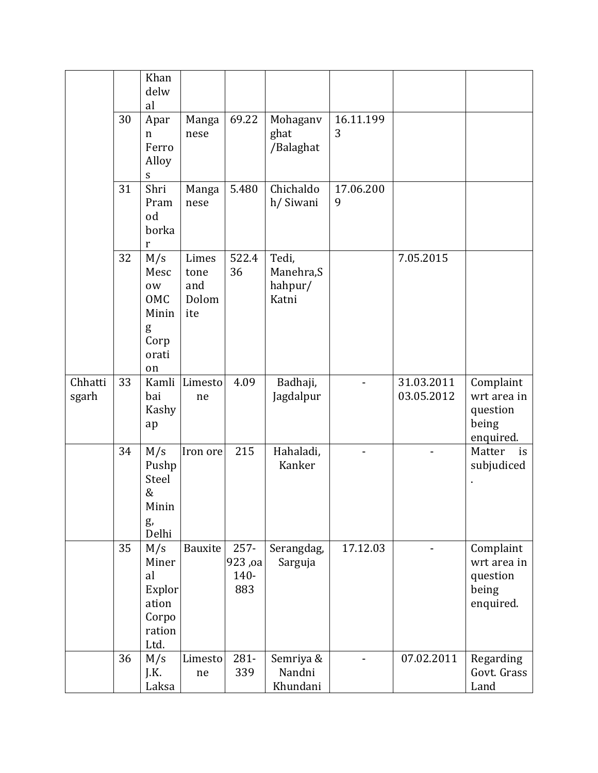|                  |    | Khan<br>delw<br>al                                               |                                      |                                   |                                         |                |                          |                                                            |
|------------------|----|------------------------------------------------------------------|--------------------------------------|-----------------------------------|-----------------------------------------|----------------|--------------------------|------------------------------------------------------------|
|                  | 30 | Apar<br>$\mathbf n$<br>Ferro<br>Alloy<br>${\mathbf S}$           | Manga<br>nese                        | 69.22                             | Mohaganv<br>ghat<br>/Balaghat           | 16.11.199<br>3 |                          |                                                            |
|                  | 31 | Shri<br>Pram<br>od<br>borka<br>r                                 | Manga<br>nese                        | 5.480                             | Chichaldo<br>h/ Siwani                  | 17.06.200<br>9 |                          |                                                            |
|                  | 32 | M/s<br>Mesc<br>0W<br>OMC<br>Minin<br>g<br>Corp<br>orati<br>on    | Limes<br>tone<br>and<br>Dolom<br>ite | 522.4<br>36                       | Tedi,<br>Manehra, S<br>hahpur/<br>Katni |                | 7.05.2015                |                                                            |
| Chhatti<br>sgarh | 33 | Kamli<br>bai<br>Kashy<br>ap                                      | Limesto<br>ne                        | 4.09                              | Badhaji,<br>Jagdalpur                   |                | 31.03.2011<br>03.05.2012 | Complaint<br>wrt area in<br>question<br>being<br>enquired. |
|                  | 34 | M/s<br>Pushp<br>Steel<br>&<br>Minin<br>g,<br>Delhi               | Iron ore                             | 215                               | Hahaladi,<br>Kanker                     |                |                          | Matter<br>is<br>subjudiced                                 |
|                  | 35 | M/s<br>Miner<br>al<br>Explor<br>ation<br>Corpo<br>ration<br>Ltd. | Bauxite                              | $257 -$<br>923, oa<br>140-<br>883 | Serangdag,<br>Sarguja                   | 17.12.03       |                          | Complaint<br>wrt area in<br>question<br>being<br>enquired. |
|                  | 36 | M/s<br>J.K.<br>Laksa                                             | Limesto<br>ne                        | 281-<br>339                       | Semriya &<br>Nandni<br>Khundani         |                | 07.02.2011               | Regarding<br>Govt. Grass<br>Land                           |